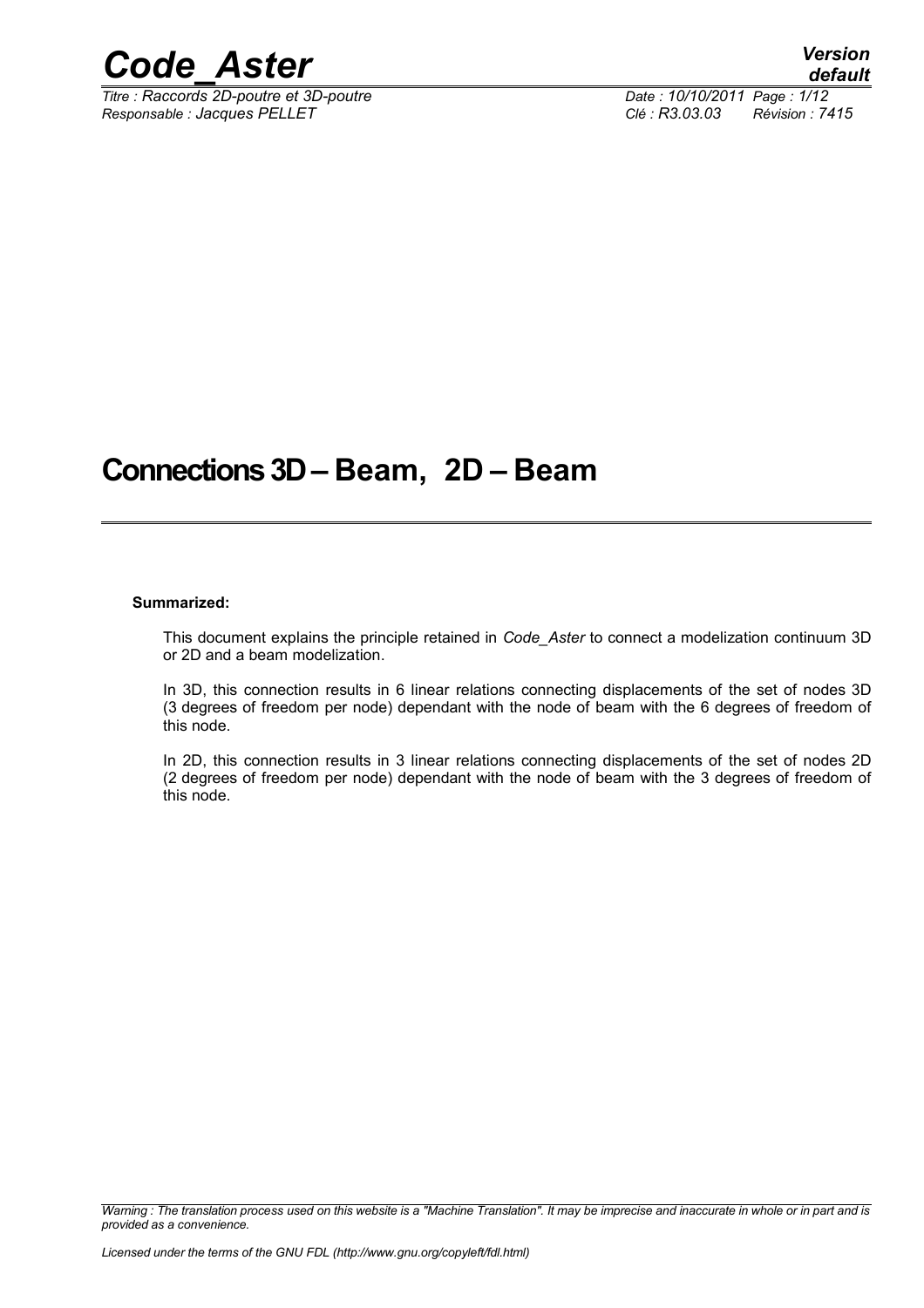

*Titre : Raccords 2D-poutre et 3D-poutre Date : 10/10/2011 Page : 1/12 Responsable : Jacques PELLET Clé : R3.03.03 Révision : 7415*

## **Connections 3D – Beam, 2D – Beam**

#### **Summarized:**

This document explains the principle retained in *Code\_Aster* to connect a modelization continuum 3D or 2D and a beam modelization.

In 3D, this connection results in 6 linear relations connecting displacements of the set of nodes 3D (3 degrees of freedom per node) dependant with the node of beam with the 6 degrees of freedom of this node.

In 2D, this connection results in 3 linear relations connecting displacements of the set of nodes 2D (2 degrees of freedom per node) dependant with the node of beam with the 3 degrees of freedom of this node.

*Warning : The translation process used on this website is a "Machine Translation". It may be imprecise and inaccurate in whole or in part and is provided as a convenience.*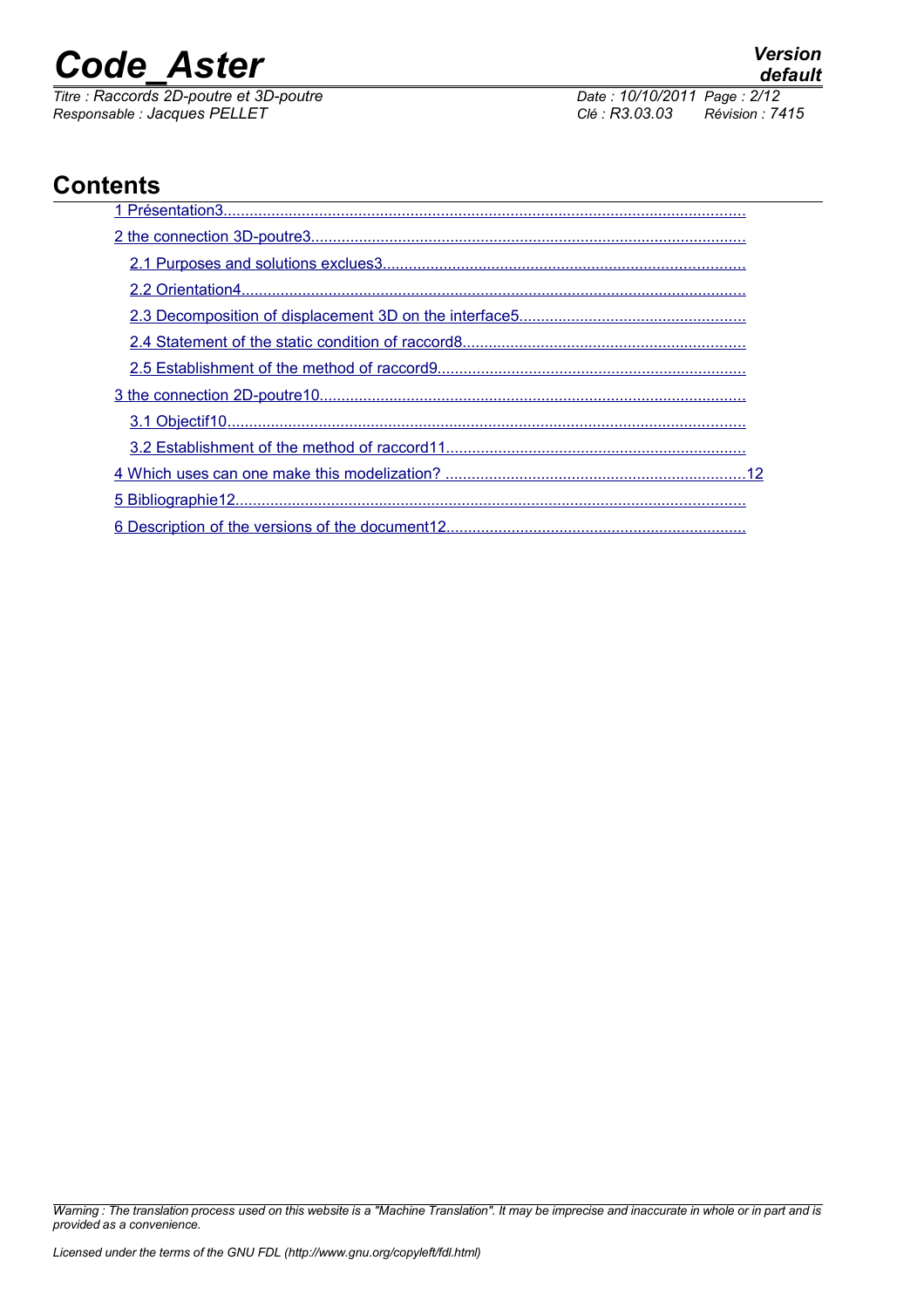*Titre : Raccords 2D-poutre et 3D-poutre Date : 10/10/2011 Page : 2/12 Responsable : Jacques PELLET Clé : R3.03.03 Révision : 7415*

## **Contents**

*Warning : The translation process used on this website is a "Machine Translation". It may be imprecise and inaccurate in whole or in part and is provided as a convenience.*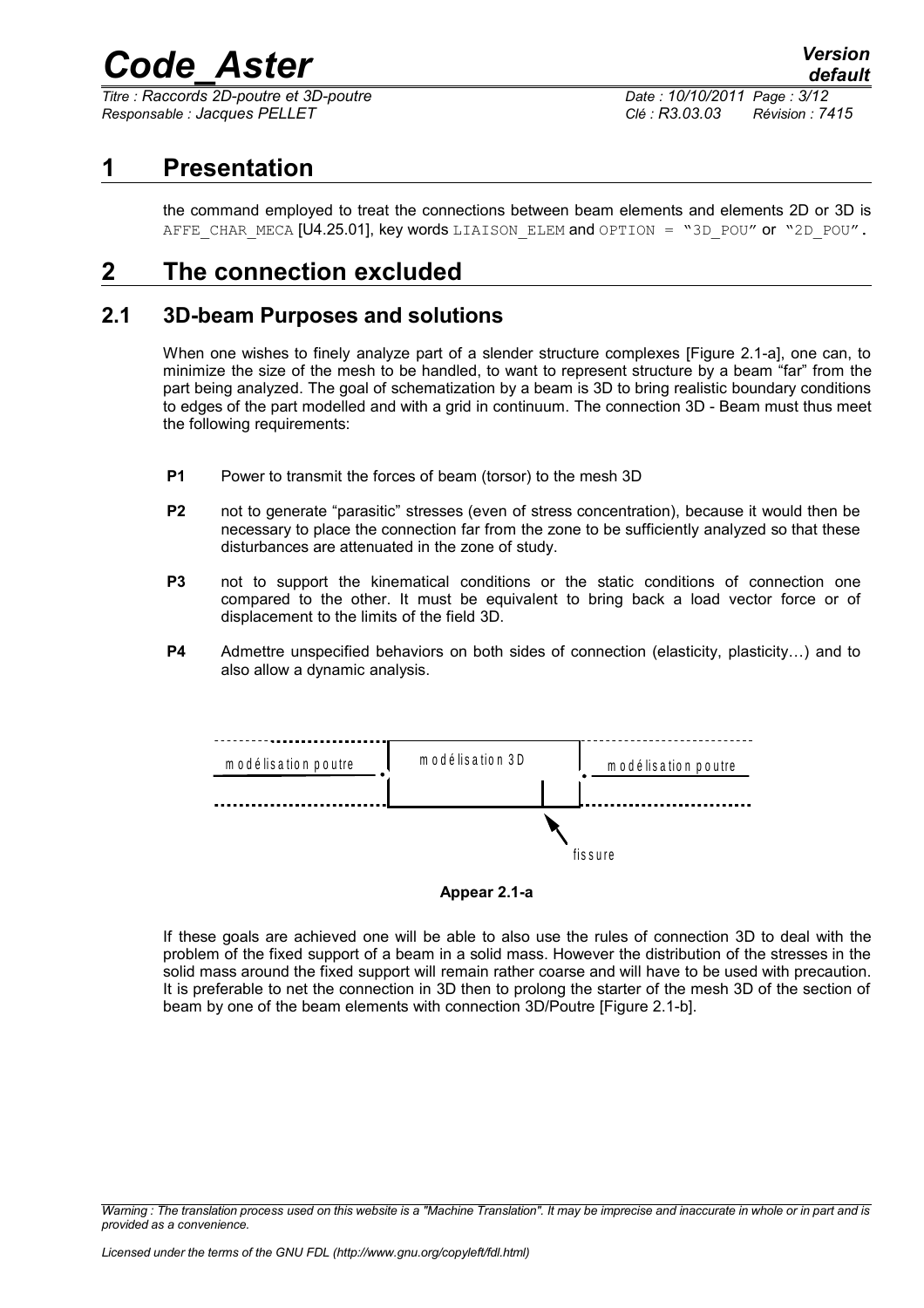*Titre : Raccords 2D-poutre et 3D-poutre Date : 10/10/2011 Page : 3/12 Responsable : Jacques PELLET Clé : R3.03.03 Révision : 7415*

## **1 Presentation**

<span id="page-2-2"></span><span id="page-2-0"></span>the command employed to treat the connections between beam elements and elements 2D or 3D is AFFE CHAR MECA [U4.25.01], key words LIAISON ELEM and OPTION = "3D\_POU" or "2D\_POU".

## **2 The connection excluded**

### **2.1 3D-beam Purposes and solutions**

<span id="page-2-1"></span>When one wishes to finely analyze part of a slender structure complexes [Figure 2.1-a], one can, to minimize the size of the mesh to be handled, to want to represent structure by a beam "far" from the part being analyzed. The goal of schematization by a beam is 3D to bring realistic boundary conditions to edges of the part modelled and with a grid in continuum. The connection 3D - Beam must thus meet the following requirements:

- **P1** Power to transmit the forces of beam (torsor) to the mesh 3D
- **P2** not to generate "parasitic" stresses (even of stress concentration), because it would then be necessary to place the connection far from the zone to be sufficiently analyzed so that these disturbances are attenuated in the zone of study.
- **P3** not to support the kinematical conditions or the static conditions of connection one compared to the other. It must be equivalent to bring back a load vector force or of displacement to the limits of the field 3D.
- **P4** Admettre unspecified behaviors on both sides of connection (elasticity, plasticity…) and to also allow a dynamic analysis.



**Appear 2.1-a**

If these goals are achieved one will be able to also use the rules of connection 3D to deal with the problem of the fixed support of a beam in a solid mass. However the distribution of the stresses in the solid mass around the fixed support will remain rather coarse and will have to be used with precaution. It is preferable to net the connection in 3D then to prolong the starter of the mesh 3D of the section of beam by one of the beam elements with connection 3D/Poutre [Figure 2.1-b].

*Warning : The translation process used on this website is a "Machine Translation". It may be imprecise and inaccurate in whole or in part and is provided as a convenience.*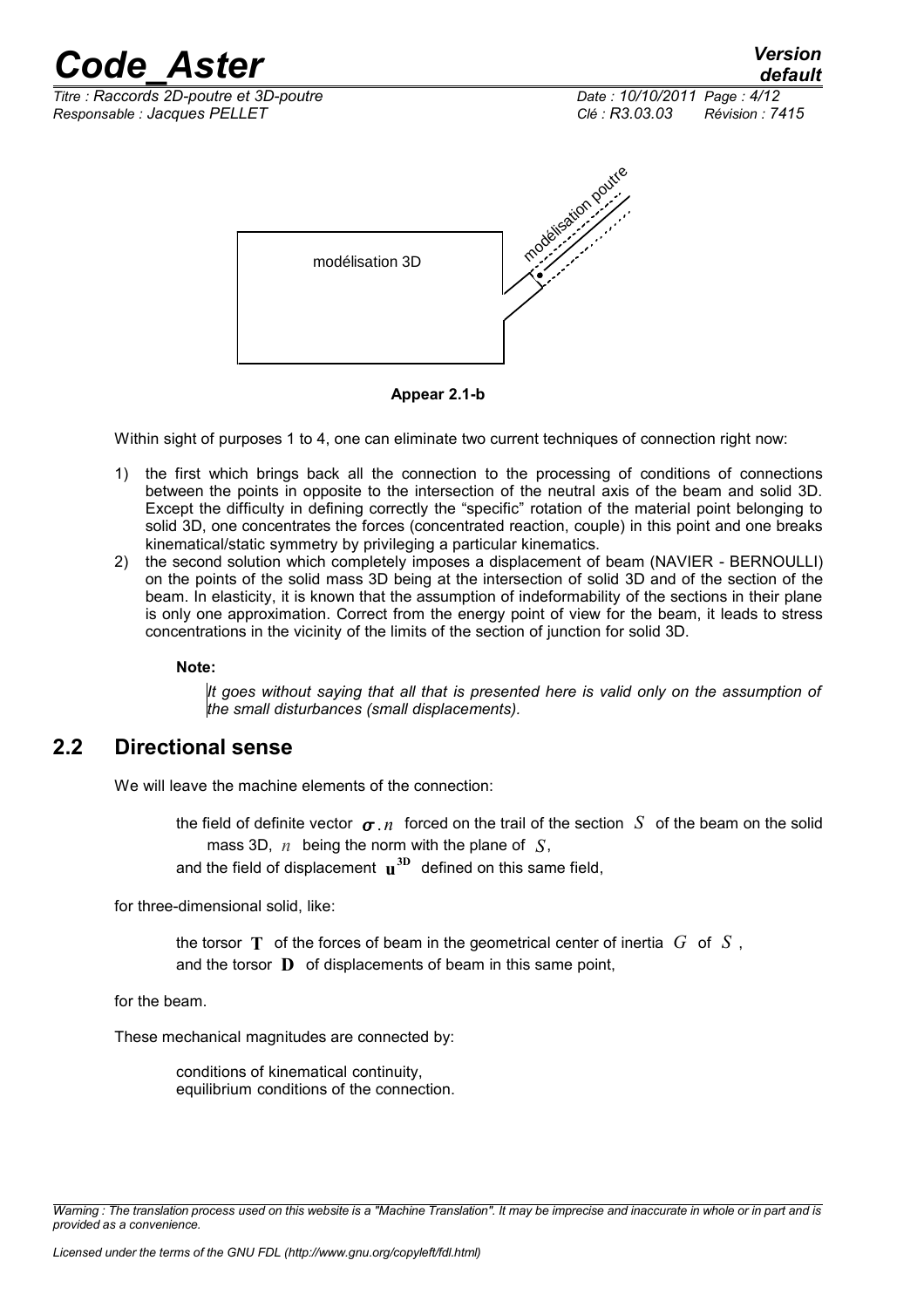

**Appear 2.1-b**

Within sight of purposes 1 to 4, one can eliminate two current techniques of connection right now:

- 1) the first which brings back all the connection to the processing of conditions of connections between the points in opposite to the intersection of the neutral axis of the beam and solid 3D. Except the difficulty in defining correctly the "specific" rotation of the material point belonging to solid 3D, one concentrates the forces (concentrated reaction, couple) in this point and one breaks kinematical/static symmetry by privileging a particular kinematics.
- 2) the second solution which completely imposes a displacement of beam (NAVIER BERNOULLI) on the points of the solid mass 3D being at the intersection of solid 3D and of the section of the beam. In elasticity, it is known that the assumption of indeformability of the sections in their plane is only one approximation. Correct from the energy point of view for the beam, it leads to stress concentrations in the vicinity of the limits of the section of junction for solid 3D.

**Note:**

*It goes without saying that all that is presented here is valid only on the assumption of the small disturbances (small displacements).*

## **2.2 Directional sense**

<span id="page-3-0"></span>We will leave the machine elements of the connection:

the field of definite vector  $\sigma$ , *n* forced on the trail of the section *S* of the beam on the solid mass 3D, *n* being the norm with the plane of *S*,

and the field of displacement **u 3D** defined on this same field,

for three-dimensional solid, like:

the torsor **T** of the forces of beam in the geometrical center of inertia *G* of *S* , and the torsor **D** of displacements of beam in this same point,

for the beam.

These mechanical magnitudes are connected by:

conditions of kinematical continuity, equilibrium conditions of the connection.

*Warning : The translation process used on this website is a "Machine Translation". It may be imprecise and inaccurate in whole or in part and is provided as a convenience.*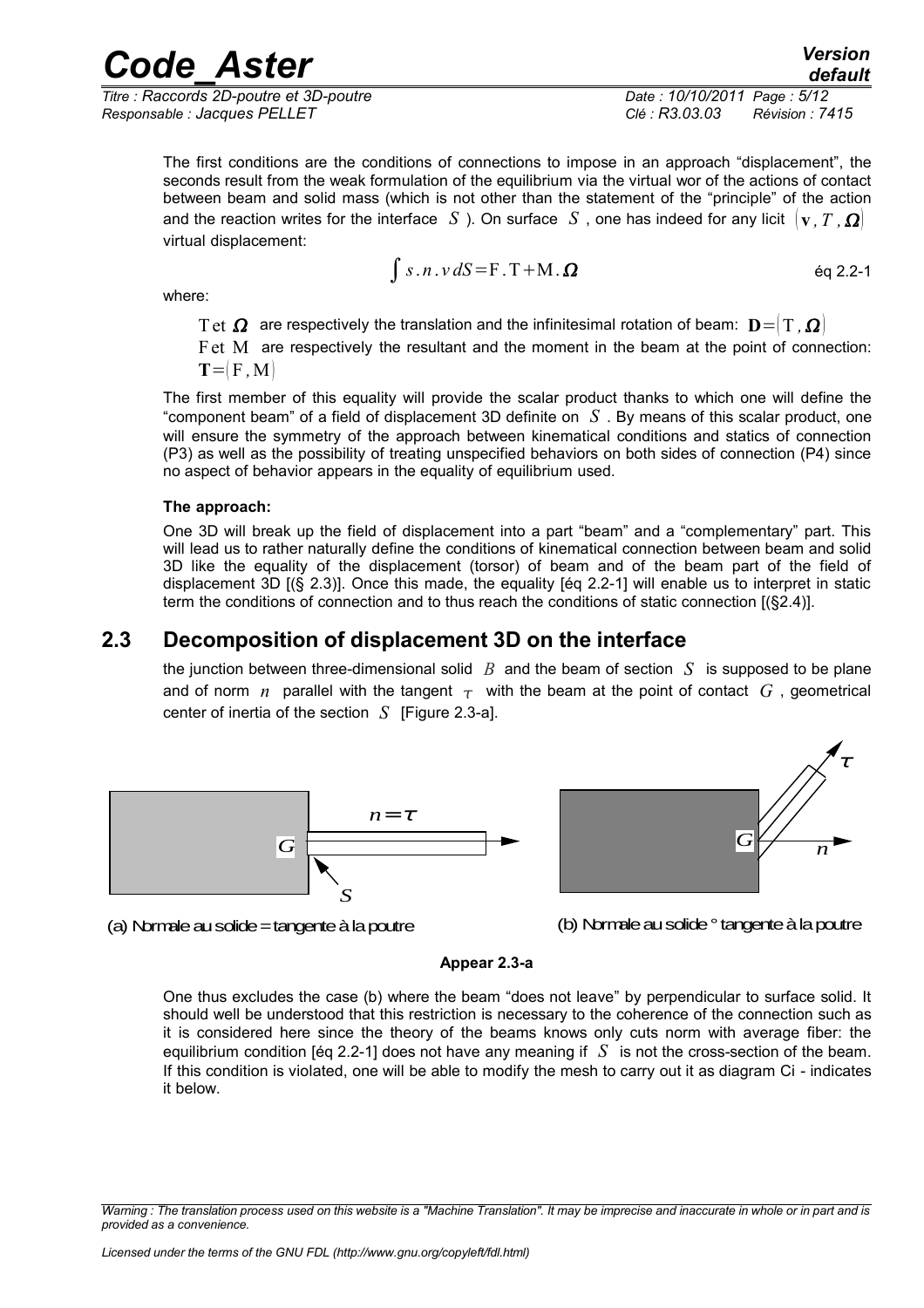*Titre : Raccords 2D-poutre et 3D-poutre Date : 10/10/2011 Page : 5/12 Responsable : Jacques PELLET Clé : R3.03.03 Révision : 7415*

The first conditions are the conditions of connections to impose in an approach "displacement", the seconds result from the weak formulation of the equilibrium via the virtual wor of the actions of contact between beam and solid mass (which is not other than the statement of the "principle" of the action and the reaction writes for the interface *S* ). On surface *S* , one has indeed for any licit  $\{v, T, \Omega\}$ virtual displacement:

$$
\int s.n.v \, dS = F.T + M.\Omega \qquad \qquad \text{eq 2.2-1}
$$

where:

Tet  $\Omega$  are respectively the translation and the infinitesimal rotation of beam:  $\mathbf{D} = (T, \Omega)$ 

Fet M are respectively the resultant and the moment in the beam at the point of connection:  $T = F$ , M

The first member of this equality will provide the scalar product thanks to which one will define the "component beam" of a field of displacement 3D definite on *S* . By means of this scalar product, one will ensure the symmetry of the approach between kinematical conditions and statics of connection (P3) as well as the possibility of treating unspecified behaviors on both sides of connection (P4) since no aspect of behavior appears in the equality of equilibrium used.

#### **The approach:**

One 3D will break up the field of displacement into a part "beam" and a "complementary" part. This will lead us to rather naturally define the conditions of kinematical connection between beam and solid 3D like the equality of the displacement (torsor) of beam and of the beam part of the field of displacement 3D [(§ 2.3)]. Once this made, the equality [éq 2.2-1] will enable us to interpret in static term the conditions of connection and to thus reach the conditions of static connection [(§2.4)].

## **2.3 Decomposition of displacement 3D on the interface**

<span id="page-4-0"></span>the junction between three-dimensional solid *B* and the beam of section *S* is supposed to be plane and of norm *n* parallel with the tangent  $\tau$  with the beam at the point of contact G, geometrical center of inertia of the section  $S$  [Figure 2.3-a].



*G n* τ

(a) Normale au solide = tangente à la poutre

(b) Normale au solide ° tangente à la poutre

#### **Appear 2.3-a**

One thus excludes the case (b) where the beam "does not leave" by perpendicular to surface solid. It should well be understood that this restriction is necessary to the coherence of the connection such as it is considered here since the theory of the beams knows only cuts norm with average fiber: the equilibrium condition [éq 2.2-1] does not have any meaning if *S* is not the cross-section of the beam. If this condition is violated, one will be able to modify the mesh to carry out it as diagram Ci - indicates it below.

*Warning : The translation process used on this website is a "Machine Translation". It may be imprecise and inaccurate in whole or in part and is provided as a convenience.*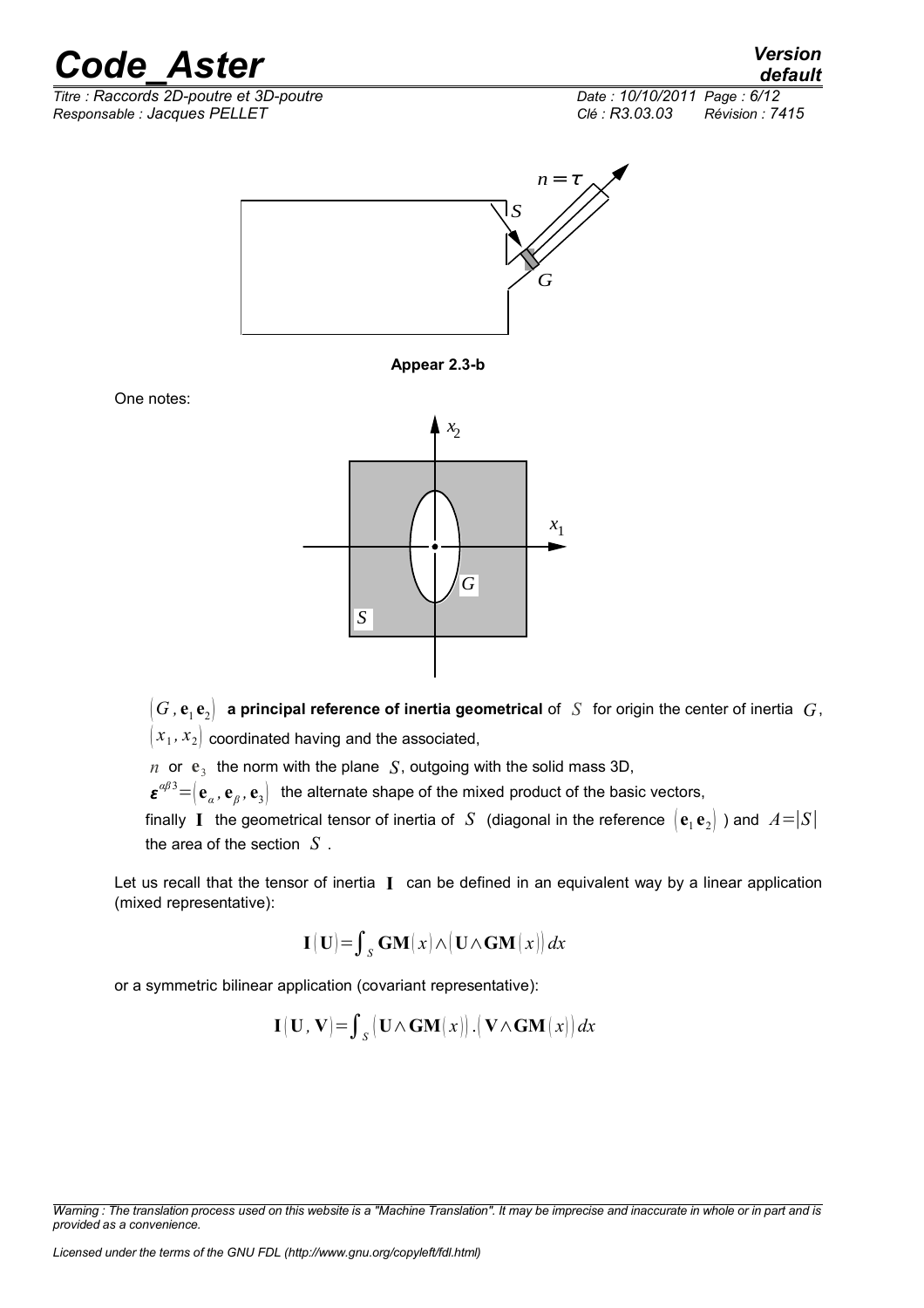

**Appear 2.3-b**

*x* 2

*G*

*x* 1



*G*

 $n \text{ or } \mathbf{e}_3$  the norm with the plane *S*, outgoing with the solid mass 3D,

*S*

 $\bm{\varepsilon}^{\alpha\beta}$ <sup>3</sup>  $=$   $\left(\mathbf{e}_{\alpha}, \mathbf{e}_{\beta}, \mathbf{e}_{3}\right)$  the alternate shape of the mixed product of the basic vectors,

finally I the geometrical tensor of inertia of  $S$  (diagonal in the reference  $\left[\mathbf{e}_1\mathbf{e}_2\right]$  ) and  $A = |S|$ the area of the section *S* .

Let us recall that the tensor of inertia **I** can be defined in an equivalent way by a linear application (mixed representative):

$$
\mathbf{I}(\mathbf{U}) = \int_{S} \mathbf{GM}(x) \wedge (\mathbf{U} \wedge \mathbf{GM}(x)) dx
$$

or a symmetric bilinear application (covariant representative):

$$
\mathbf{I}(\mathbf{U},\mathbf{V})\!=\!\int_{\mathcal{S}}\!\big(\mathbf{U}\!\wedge\!\mathbf{GM}(x)\big)\,.\big(\mathbf{V}\!\wedge\!\mathbf{GM}(x)\big)\,dx
$$

*Licensed under the terms of the GNU FDL (http://www.gnu.org/copyleft/fdl.html)*

One notes:

*Warning : The translation process used on this website is a "Machine Translation". It may be imprecise and inaccurate in whole or in part and is provided as a convenience.*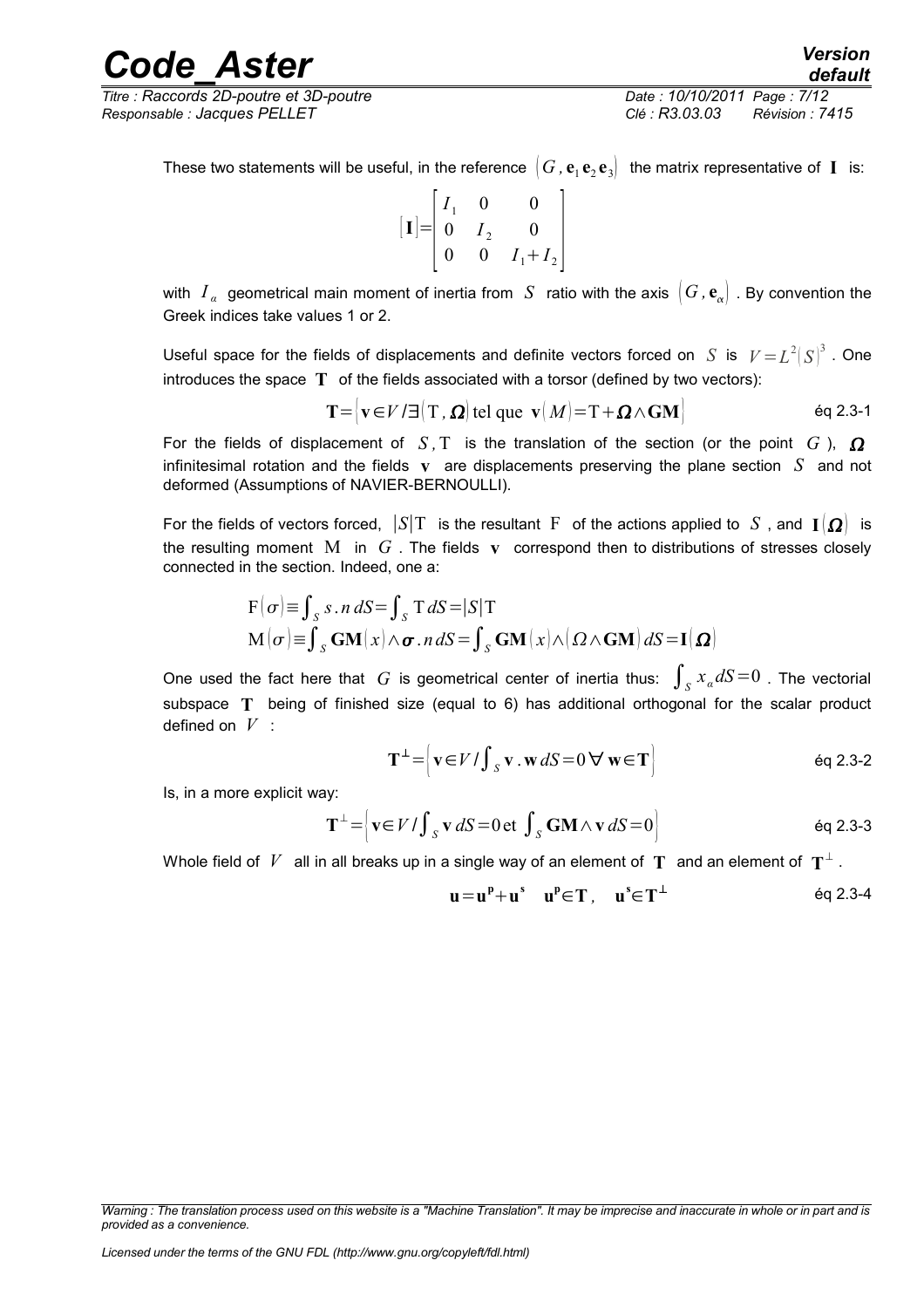*Titre : Raccords 2D-poutre et 3D-poutre Date : 10/10/2011 Page : 7/12 Responsable : Jacques PELLET Clé : R3.03.03 Révision : 7415*

These two statements will be useful, in the reference  $(G$  ,  ${\bf e}_1\,{\bf e}_2\,{\bf e}_3]\;$  the matrix representative of  $\:$  is:

$$
\begin{bmatrix} \mathbf{I} \end{bmatrix} = \begin{bmatrix} I_1 & 0 & 0 \\ 0 & I_2 & 0 \\ 0 & 0 & I_1 + I_2 \end{bmatrix}
$$

with  $I_\alpha$  geometrical main moment of inertia from  $\,S\,$  ratio with the axis  $\,|\,G$  ,  ${\bf e}_\alpha)\,$  . By convention the Greek indices take values 1 or 2.

Useful space for the fields of displacements and definite vectors forced on *S* is  $|V = L^2|S|^3$  . One introduces the space **T** of the fields associated with a torsor (defined by two vectors):

 $\mathbf{T} = |\mathbf{v} \in V / \exists | \mathbf{T}, \mathbf{\Omega}|$  tel que  $\mathbf{v} | M | = \mathbf{T} + \mathbf{\Omega} \wedge \mathbf{G} \mathbf{M}$  éq 2.3-1

For the fields of displacement of  $S$ ,  $T$  is the translation of the section (or the point  $G$ ),  $\Omega$ infinitesimal rotation and the fields **v** are displacements preserving the plane section *S* and not deformed (Assumptions of NAVIER-BERNOULLI).

For the fields of vectors forced,  $|S|T$  is the resultant F of the actions applied to *S*, and  $\mathbf{I}[\Omega]$  is the resulting moment M in *G* . The fields **v** correspond then to distributions of stresses closely connected in the section. Indeed, one a:

$$
F(\sigma) = \int_{S} s \cdot n \, dS = \int_{S} T \, dS = |S|T
$$
  

$$
M(\sigma) = \int_{S} GM(x) \wedge \sigma \cdot n \, dS = \int_{S} GM(x) \wedge (\Omega \wedge GM) \, dS = I(\Omega)
$$

One used the fact here that  $G$  is geometrical center of inertia thus:  $\int_S x_a dS = 0$  . The vectorial subspace **T** being of finished size (equal to 6) has additional orthogonal for the scalar product defined on *V* :

$$
\mathbf{T}^{\perp} = \left\{ \mathbf{v} \in V / \int_{S} \mathbf{v} \cdot \mathbf{w} \, dS = 0 \, \forall \, \mathbf{w} \in \mathbf{T} \right\}
$$
 eq 2.3-2

Is, in a more explicit way:

$$
\mathbf{T}^{\perp} = \left\{ \mathbf{v} \in V / \int_{S} \mathbf{v} \, dS = 0 \, \text{et} \, \int_{S} \mathbf{GM} \wedge \mathbf{v} \, dS = 0 \right\}
$$

Whole field of  $\mathit{V}^-$  all in all breaks up in a single way of an element of  $\mathbf{T}^-$  and an element of  $\mathbf{T}^\perp$  .

$$
\mathbf{u} = \mathbf{u}^{\mathrm{p}} + \mathbf{u}^{\mathrm{s}} \quad \mathbf{u}^{\mathrm{p}} \in \mathbf{T}, \quad \mathbf{u}^{\mathrm{s}} \in \mathbf{T}^{\perp} \tag{6q 2.3-4}
$$

*Warning : The translation process used on this website is a "Machine Translation". It may be imprecise and inaccurate in whole or in part and is provided as a convenience.*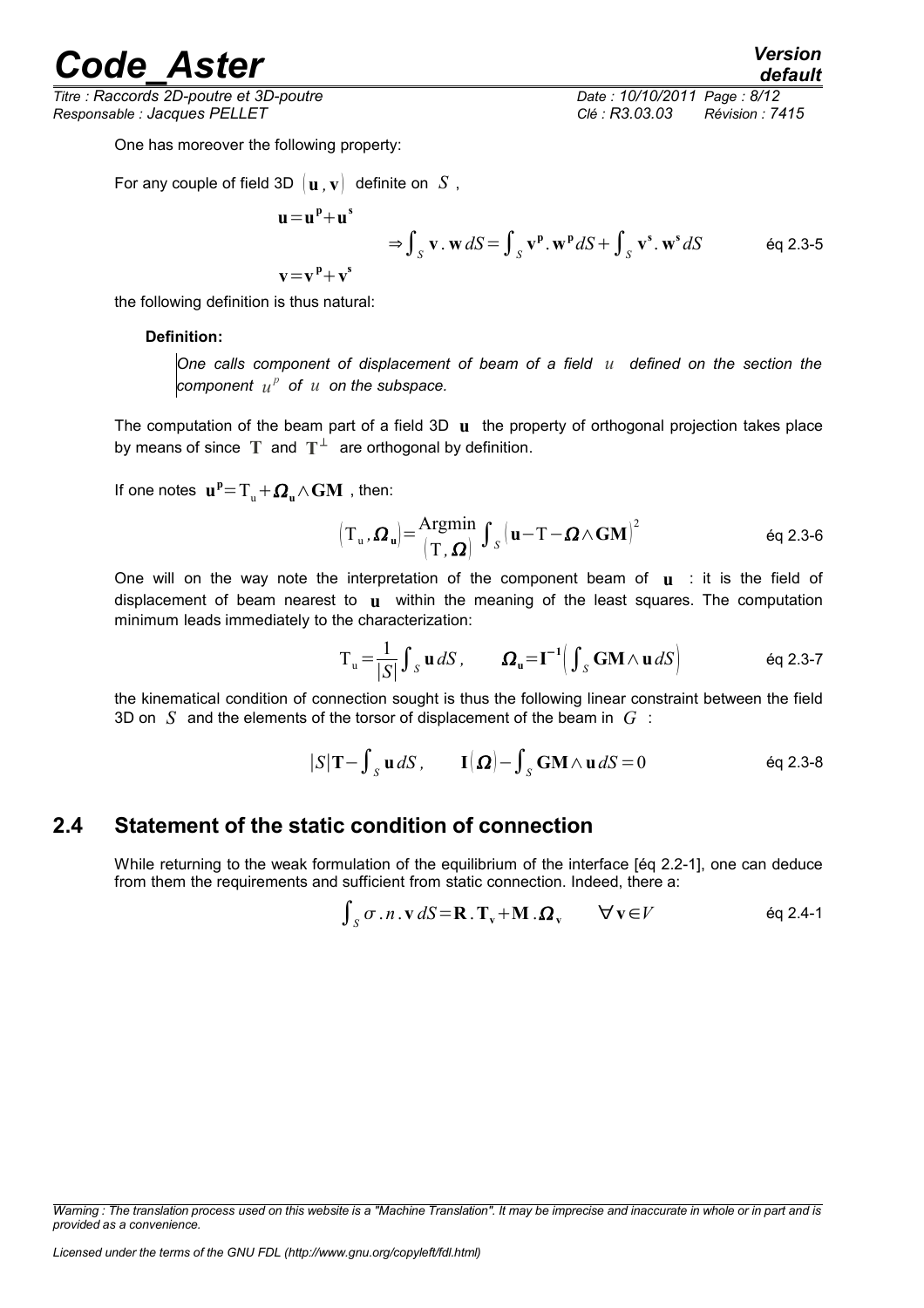*Titre : Raccords 2D-poutre et 3D-poutre Date : 10/10/2011 Page : 8/12 Responsable : Jacques PELLET Clé : R3.03.03 Révision : 7415*

*default*

One has moreover the following property:

For any couple of field 3D  $[\mathbf{u} \cdot \mathbf{v}]$  definite on *S*,

$$
u = u^p + u^s
$$

$$
\Rightarrow \int_{S} \mathbf{v} \cdot \mathbf{w} dS = \int_{S} \mathbf{v}^{p} \cdot \mathbf{w}^{p} dS + \int_{S} \mathbf{v}^{s} \cdot \mathbf{w}^{s} dS
$$
 eq 2.3-5

the following definition is thus natural:

#### **Definition:**

*One calls component of displacement of beam of a field u defined on the section the*  $\mathbf{c}$ *component*  $u^p$  of  $u$  on the subspace.

The computation of the beam part of a field 3D **u** the property of orthogonal projection takes place by means of since  $T$  and  $T^{\perp}$  are orthogonal by definition.

If one notes  $\mathbf{u}^{\text{p}}\text{=}T_{\text{u}}\text{+}\boldsymbol{\varOmega}_{\text{u}}\text{/\sqrt{GM}}$  , then:

$$
\left(\mathbf{T}_{\mathbf{u}}, \boldsymbol{\Omega}_{\mathbf{u}}\right) = \frac{\mathbf{Argmin}}{\left(\mathbf{T}, \boldsymbol{\Omega}\right)} \int_{S} \left(\mathbf{u} - \mathbf{T} - \boldsymbol{\Omega} \wedge \mathbf{GM}\right)^{2} \tag{6q 2.3-6}
$$

One will on the way note the interpretation of the component beam of **u** : it is the field of displacement of beam nearest to **u** within the meaning of the least squares. The computation minimum leads immediately to the characterization:

$$
T_{u} = \frac{1}{|S|} \int_{S} u \, dS, \qquad \Omega_{u} = I^{-1} \Big( \int_{S} GM \wedge u \, dS \Big) \qquad \text{eq 2.3-7}
$$

the kinematical condition of connection sought is thus the following linear constraint between the field 3D on *S* and the elements of the torsor of displacement of the beam in *G* :

$$
|S|T - \int_S \mathbf{u} dS
$$
,  $I(\Omega) - \int_S \mathbf{GM} \wedge \mathbf{u} dS = 0$  \t\t\t\t $\text{eq } 2.3-8$ 

### **2.4 Statement of the static condition of connection**

<span id="page-7-0"></span>While returning to the weak formulation of the equilibrium of the interface [éq 2.2-1], one can deduce from them the requirements and sufficient from static connection. Indeed, there a:

$$
\int_{S} \sigma \cdot n \cdot \mathbf{v} \, dS = \mathbf{R} \cdot \mathbf{T}_{v} + \mathbf{M} \cdot \mathbf{\Omega}_{v} \qquad \forall \mathbf{v} \in V \qquad \text{Eq 2.4-1}
$$

*Warning : The translation process used on this website is a "Machine Translation". It may be imprecise and inaccurate in whole or in part and is provided as a convenience.*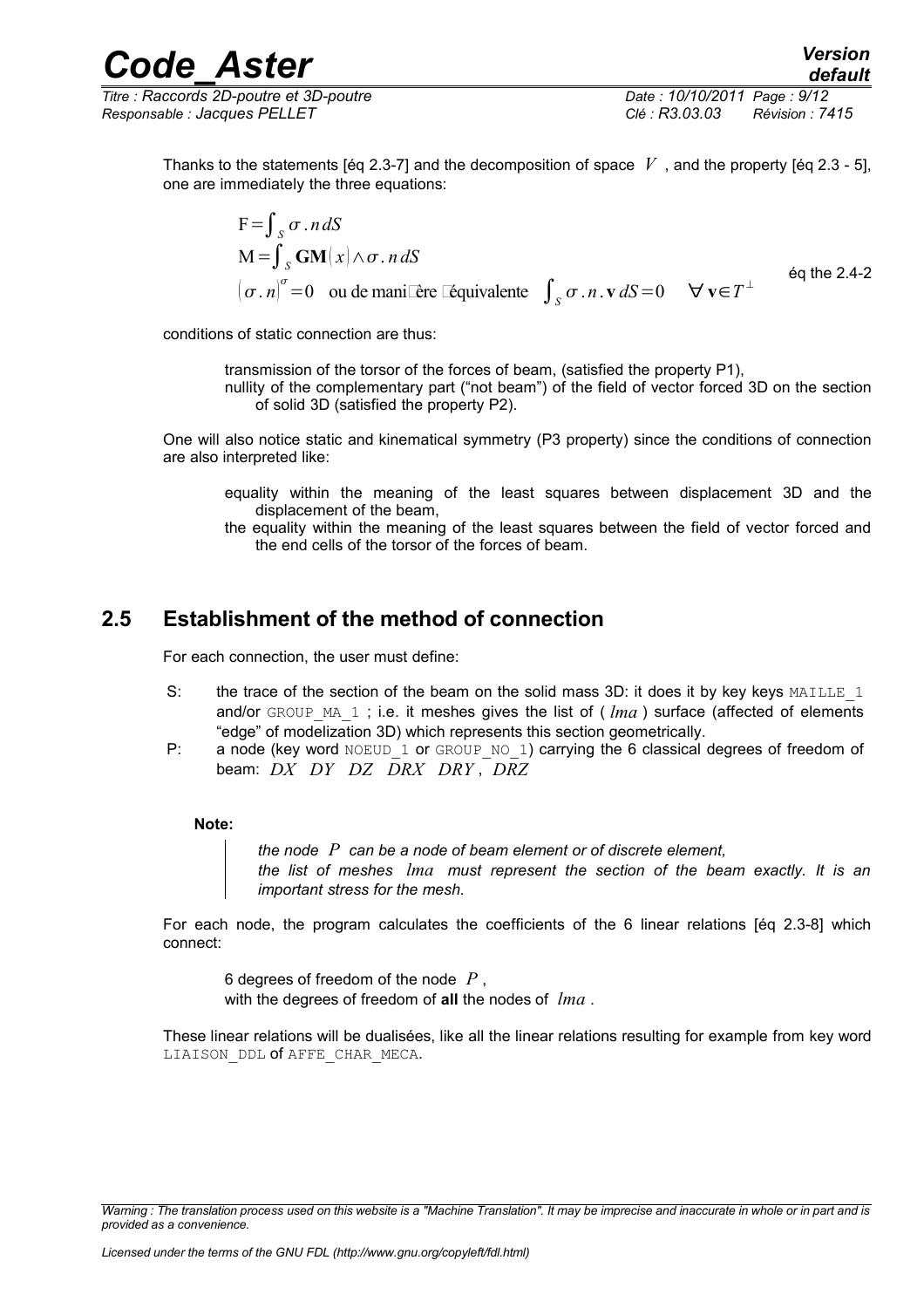*Code\_Aster Version Titre : Raccords 2D-poutre et 3D-poutre Date : 10/10/2011 Page : 9/12*

*Responsable : Jacques PELLET Clé : R3.03.03 Révision : 7415*

Thanks to the statements [eq 2.3-7] and the decomposition of space  $V$ , and the property [eq 2.3 - 5], one are immediately the three equations:

$$
F = \int_{S} \sigma \cdot n \, dS
$$
  
\n
$$
M = \int_{S} \mathbf{GM}(x) \wedge \sigma \cdot n \, dS
$$
  
\n
$$
(\sigma \cdot n)^{\sigma} = 0 \quad \text{ou de mani Eère Eequivalence} \quad \int_{S} \sigma \cdot n \cdot \mathbf{v} \, dS = 0 \quad \forall \mathbf{v} \in T^{\perp} \quad \text{éq the 2.4-2}
$$

conditions of static connection are thus:

transmission of the torsor of the forces of beam, (satisfied the property P1),

nullity of the complementary part ("not beam") of the field of vector forced 3D on the section of solid 3D (satisfied the property P2).

One will also notice static and kinematical symmetry (P3 property) since the conditions of connection are also interpreted like:

- equality within the meaning of the least squares between displacement 3D and the displacement of the beam,
- the equality within the meaning of the least squares between the field of vector forced and the end cells of the torsor of the forces of beam.

## **2.5 Establishment of the method of connection**

<span id="page-8-0"></span>For each connection, the user must define:

- S: the trace of the section of the beam on the solid mass 3D: it does it by key keys  $MAILLE_1$ and/or GROUP MA 1; i.e. it meshes gives the list of (*lma*) surface (affected of elements "edge" of modelization 3D) which represents this section geometrically.
- P: a node (key word NOEUD 1 or GROUP NO 1) carrying the 6 classical degrees of freedom of beam: *DX DY DZ DRX DRY* , *DRZ*

#### **Note:**

*the node P can be a node of beam element or of discrete element, the list of meshes lma must represent the section of the beam exactly. It is an important stress for the mesh.*

For each node, the program calculates the coefficients of the 6 linear relations [éq 2.3-8] which connect:

6 degrees of freedom of the node *P* , with the degrees of freedom of **all** the nodes of *lma* .

These linear relations will be dualisées, like all the linear relations resulting for example from key word LIAISON DDL of AFFE CHAR MECA.

*Warning : The translation process used on this website is a "Machine Translation". It may be imprecise and inaccurate in whole or in part and is provided as a convenience.*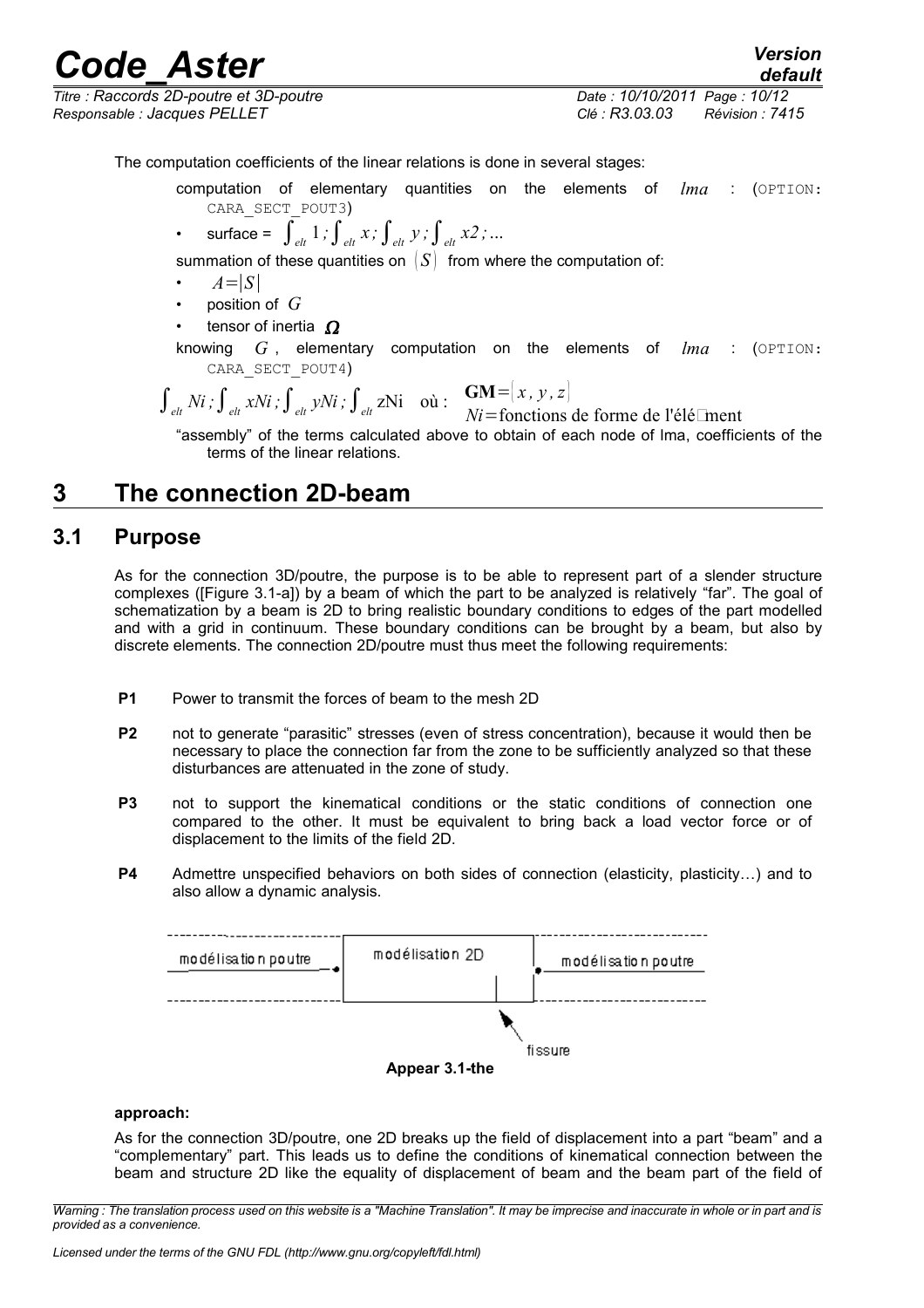*Titre : Raccords 2D-poutre et 3D-poutre Date : 10/10/2011 Page : 10/12 Responsable : Jacques PELLET Clé : R3.03.03 Révision : 7415*

The computation coefficients of the linear relations is done in several stages:

- computation of elementary quantities on the elements of *lma* : (OPTION: CARA\_SECT\_POUT3)
- surface =  $\int_{e^{lt}} 1$ ;  $\int_{e^{lt}} x$ ;  $\int_{e^{lt}} y$ ;  $\int_{e^{lt}} x^2$ ; ...

summation of these quantities on  $|S|$  from where the computation of:

- $A=|S|$
- position of *G*
- tensor of inertia  $\Omega$
- knowing *G* , elementary computation on the elements of *lma* : (OPTION: CARA\_SECT\_POUT4)

$$
\int_{\text{elt}} Ni \, ; \int_{\text{elt}} xNi \, ; \int_{\text{elt}} yNi \, ; \int_{\text{elt}} zNi \quad \text{où} : \quad \frac{GM = [x, y, z]}{Ni = \text{fonctions de forme de l'élé\_ment}}
$$

"assembly" of the terms calculated above to obtain of each node of lma, coefficients of the terms of the linear relations.

## <span id="page-9-1"></span>**3 The connection 2D-beam**

### **3.1 Purpose**

<span id="page-9-0"></span>As for the connection 3D/poutre, the purpose is to be able to represent part of a slender structure complexes ([Figure 3.1-a]) by a beam of which the part to be analyzed is relatively "far". The goal of schematization by a beam is 2D to bring realistic boundary conditions to edges of the part modelled and with a grid in continuum. These boundary conditions can be brought by a beam, but also by discrete elements. The connection 2D/poutre must thus meet the following requirements:

- **P1** Power to transmit the forces of beam to the mesh 2D
- **P2** not to generate "parasitic" stresses (even of stress concentration), because it would then be necessary to place the connection far from the zone to be sufficiently analyzed so that these disturbances are attenuated in the zone of study.
- **P3** not to support the kinematical conditions or the static conditions of connection one compared to the other. It must be equivalent to bring back a load vector force or of displacement to the limits of the field 2D.
- **P4** Admettre unspecified behaviors on both sides of connection (elasticity, plasticity…) and to also allow a dynamic analysis.



#### **approach:**

As for the connection 3D/poutre, one 2D breaks up the field of displacement into a part "beam" and a "complementary" part. This leads us to define the conditions of kinematical connection between the beam and structure 2D like the equality of displacement of beam and the beam part of the field of

*default*

*Warning : The translation process used on this website is a "Machine Translation". It may be imprecise and inaccurate in whole or in part and is provided as a convenience.*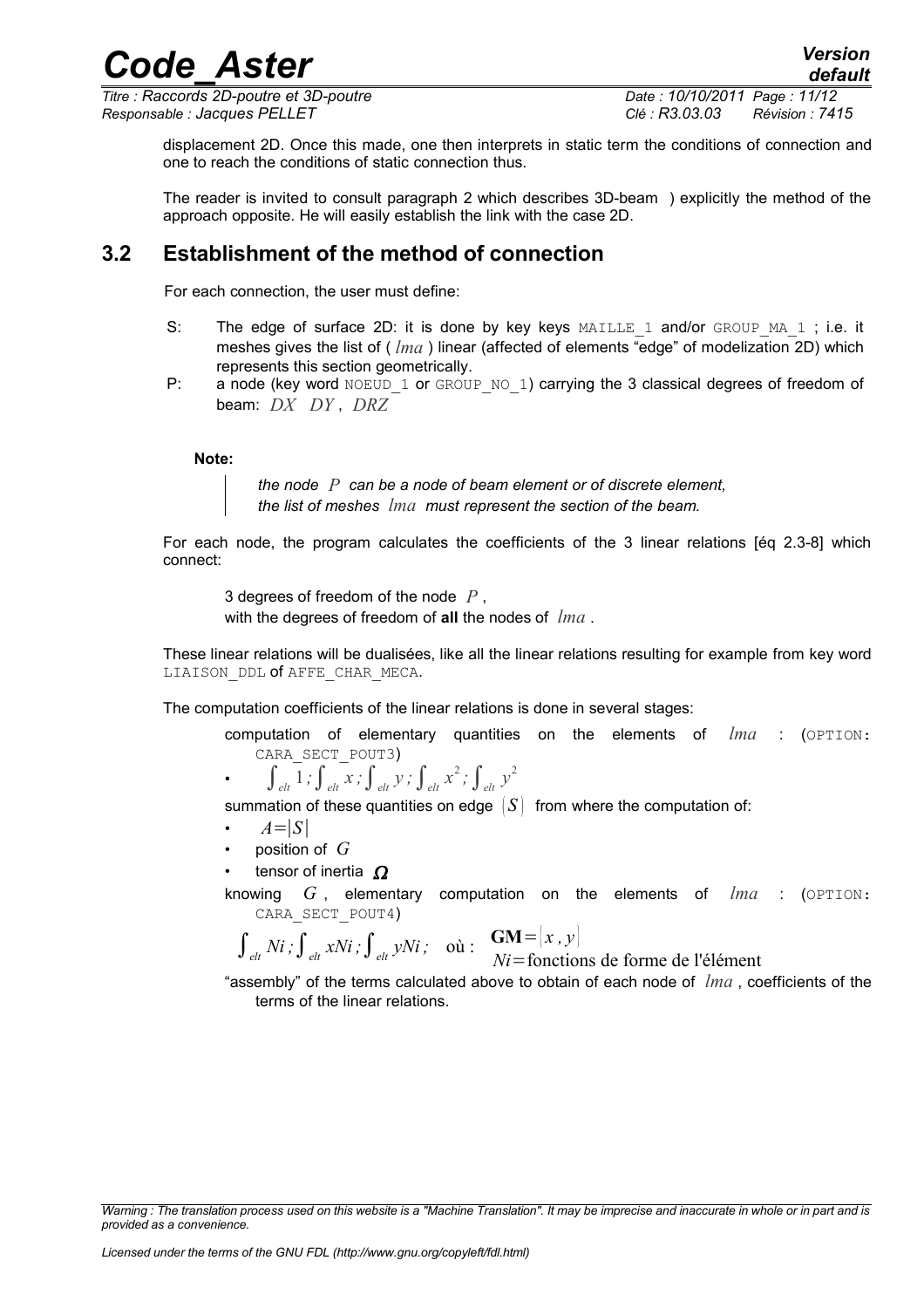*Titre : Raccords 2D-poutre et 3D-poutre Date : 10/10/2011 Page : 11/12*

*default*

*Responsable : Jacques PELLET Clé : R3.03.03 Révision : 7415*

displacement 2D. Once this made, one then interprets in static term the conditions of connection and one to reach the conditions of static connection thus.

*Code\_Aster Version*

The reader is invited to consult paragraph [2](#page-2-2) which describe[s](#page-2-2) 3D-beam ) explicitly the method of the approach opposite. He will easily establish the link with the case 2D.

## **3.2 Establishment of the method of connection**

<span id="page-10-0"></span>For each connection, the user must define:

- S: The edge of surface 2D: it is done by key keys  $MAILLE$  1 and/or GROUP MA 1; i.e. it meshes gives the list of ( *lma* ) linear (affected of elements "edge" of modelization 2D) which represents this section geometrically.
- P: a node (key word NOEUD 1 or GROUP NO 1) carrying the 3 classical degrees of freedom of beam: *DX DY* , *DRZ*

#### **Note:**

*the node P can be a node of beam element or of discrete element, the list of meshes lma must represent the section of the beam.* 

For each node, the program calculates the coefficients of the 3 linear relations [éq 2.3-8] which connect:

3 degrees of freedom of the node *P* , with the degrees of freedom of **all** the nodes of *lma* .

These linear relations will be dualisées, like all the linear relations resulting for example from key word LIAISON DDL of AFFE CHAR MECA.

The computation coefficients of the linear relations is done in several stages:

- computation of elementary quantities on the elements of *lma* : (OPTION: CARA\_SECT\_POUT3)
- $\int_{e^{lt}}^{e^{lt}} 1$ ;  $\int_{e^{lt}}^{e^{lt}} x$ ;  $\int_{e^{lt}}^{e^{lt}} y$ ;  $\int_{e^{lt}}^{e^{lt}} x^2$ ;  $\int_{e^{lt}}^{e^{lt}} y^2$

summation of these quantities on edge  $|S|$  from where the computation of:

- $A=|S|$
- position of *G*
- tensor of inertia  $\Omega$
- knowing *G* , elementary computation on the elements of *lma* : (OPTION: CARA\_SECT\_POUT4)

$$
\int_{\text{elt}} Ni \, ; \int_{\text{elt}} xNi \, ; \int_{\text{elt}} yNi \, ; \quad \text{où} : \quad \frac{GM = |x, y|}{Ni = \text{functions de forme de l'élément}}
$$

"assembly" of the terms calculated above to obtain of each node of *lma* , coefficients of the terms of the linear relations.

*Warning : The translation process used on this website is a "Machine Translation". It may be imprecise and inaccurate in whole or in part and is provided as a convenience.*